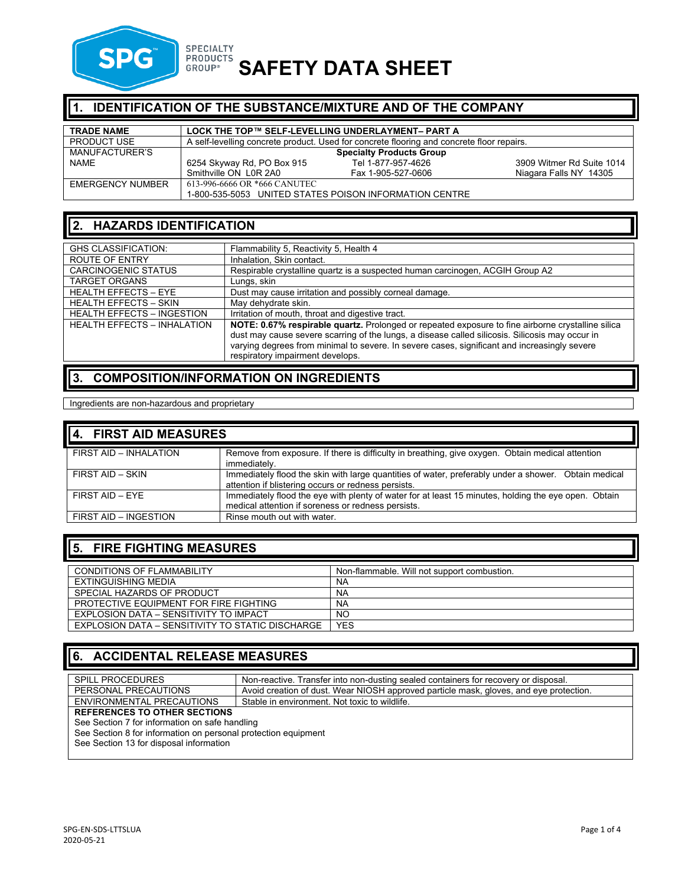

# **SPECIALTY**<br>GROUP® SAFETY DATA SHEET

| II 1.<br><b>IDENTIFICATION OF THE SUBSTANCE/MIXTURE AND OF THE COMPANY</b> |                                                   |                                                                                           |                           |
|----------------------------------------------------------------------------|---------------------------------------------------|-------------------------------------------------------------------------------------------|---------------------------|
| <b>TRADE NAME</b>                                                          | LOCK THE TOP™ SELF-LEVELLING UNDERLAYMENT- PART A |                                                                                           |                           |
| <b>PRODUCT USE</b>                                                         |                                                   | A self-levelling concrete product. Used for concrete flooring and concrete floor repairs. |                           |
| MANUFACTURER'S                                                             | <b>Specialty Products Group</b>                   |                                                                                           |                           |
| <b>NAME</b>                                                                | 6254 Skyway Rd, PO Box 915                        | Tel 1-877-957-4626                                                                        | 3909 Witmer Rd Suite 1014 |
|                                                                            | Smithville ON L0R 2A0                             | Fax 1-905-527-0606                                                                        | Niagara Falls NY 14305    |
| <b>EMERGENCY NUMBER</b>                                                    | 613-996-6666 OR *666 CANUTEC                      |                                                                                           |                           |
|                                                                            |                                                   | 1-800-535-5053 UNITED STATES POISON INFORMATION CENTRE                                    |                           |

## **2. HAZARDS IDENTIFICATION**

| <b>GHS CLASSIFICATION:</b>         | Flammability 5, Reactivity 5, Health 4                                                                                                                                                                                                                                                                                                   |
|------------------------------------|------------------------------------------------------------------------------------------------------------------------------------------------------------------------------------------------------------------------------------------------------------------------------------------------------------------------------------------|
| ROUTE OF ENTRY                     | Inhalation, Skin contact.                                                                                                                                                                                                                                                                                                                |
| <b>CARCINOGENIC STATUS</b>         | Respirable crystalline quartz is a suspected human carcinogen, ACGIH Group A2                                                                                                                                                                                                                                                            |
| <b>TARGET ORGANS</b>               | Lungs, skin                                                                                                                                                                                                                                                                                                                              |
| <b>HEALTH EFFECTS - EYE</b>        | Dust may cause irritation and possibly corneal damage.                                                                                                                                                                                                                                                                                   |
| <b>HEALTH EFFECTS - SKIN</b>       | May dehydrate skin.                                                                                                                                                                                                                                                                                                                      |
| <b>HEALTH EFFECTS - INGESTION</b>  | Irritation of mouth, throat and digestive tract.                                                                                                                                                                                                                                                                                         |
| <b>HEALTH EFFECTS - INHALATION</b> | NOTE: 0.67% respirable quartz. Prolonged or repeated exposure to fine airborne crystalline silica<br>dust may cause severe scarring of the lungs, a disease called silicosis. Silicosis may occur in<br>varying degrees from minimal to severe. In severe cases, significant and increasingly severe<br>respiratory impairment develops. |

# **3. COMPOSITION/INFORMATION ON INGREDIENTS**

Ingredients are non-hazardous and proprietary

| 4. FIRST AID MEASURES  |                                                                                                                                                             |
|------------------------|-------------------------------------------------------------------------------------------------------------------------------------------------------------|
| FIRST AID - INHALATION | Remove from exposure. If there is difficulty in breathing, give oxygen. Obtain medical attention<br>immediately.                                            |
| FIRST AID - SKIN       | Immediately flood the skin with large quantities of water, preferably under a shower. Obtain medical<br>attention if blistering occurs or redness persists. |
| FIRST AID - EYE        | Immediately flood the eye with plenty of water for at least 15 minutes, holding the eye open. Obtain<br>medical attention if soreness or redness persists.  |
| FIRST AID - INGESTION  | Rinse mouth out with water.                                                                                                                                 |

# **5. FIRE FIGHTING MEASURES**

| <b>CONDITIONS OF FLAMMABILITY</b>                | Non-flammable. Will not support combustion. |
|--------------------------------------------------|---------------------------------------------|
| EXTINGUISHING MEDIA                              | NA                                          |
| SPECIAL HAZARDS OF PRODUCT                       | NA                                          |
| PROTECTIVE EQUIPMENT FOR FIRE FIGHTING           | <b>NA</b>                                   |
| EXPLOSION DATA - SENSITIVITY TO IMPACT           | <b>NO</b>                                   |
| EXPLOSION DATA – SENSITIVITY TO STATIC DISCHARGE | <b>YES</b>                                  |

# **6. ACCIDENTAL RELEASE MEASURES**

| <b>SPILL PROCEDURES</b>                                        | Non-reactive. Transfer into non-dusting sealed containers for recovery or disposal.    |  |
|----------------------------------------------------------------|----------------------------------------------------------------------------------------|--|
| PERSONAL PRECAUTIONS                                           | Avoid creation of dust. Wear NIOSH approved particle mask, gloves, and eye protection. |  |
| ENVIRONMENTAL PRECAUTIONS                                      | Stable in environment. Not toxic to wildlife.                                          |  |
| <b>REFERENCES TO OTHER SECTIONS</b>                            |                                                                                        |  |
| See Section 7 for information on safe handling                 |                                                                                        |  |
| See Section 8 for information on personal protection equipment |                                                                                        |  |
|                                                                |                                                                                        |  |

See Section 13 for disposal information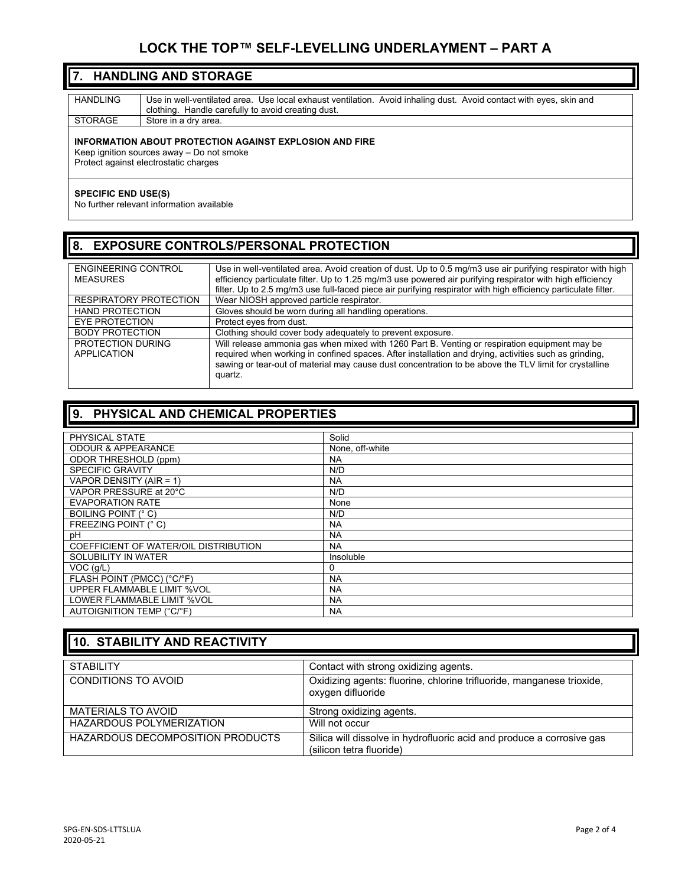#### **LOCK THE TOP™ SELF-LEVELLING UNDERLAYMENT – PART A**

#### **7. HANDLING AND STORAGE**

| HANDLING       | Use in well-ventilated area. Use local exhaust ventilation. Avoid inhaling dust. Avoid contact with eyes, skin and |
|----------------|--------------------------------------------------------------------------------------------------------------------|
|                | clothing. Handle carefully to avoid creating dust.                                                                 |
| <b>STORAGE</b> | Store in a dry area.                                                                                               |
|                |                                                                                                                    |

#### **INFORMATION ABOUT PROTECTION AGAINST EXPLOSION AND FIRE**

Keep ignition sources away – Do not smoke Protect against electrostatic charges

#### **SPECIFIC END USE(S)**

No further relevant information available

#### **8. EXPOSURE CONTROLS/PERSONAL PROTECTION**

| ENGINEERING CONTROL<br><b>MEASURES</b>  | Use in well-ventilated area. Avoid creation of dust. Up to 0.5 mg/m3 use air purifying respirator with high<br>efficiency particulate filter. Up to 1.25 mg/m3 use powered air purifying respirator with high efficiency<br>filter. Up to 2.5 mg/m3 use full-faced piece air purifying respirator with high efficiency particulate filter. |
|-----------------------------------------|--------------------------------------------------------------------------------------------------------------------------------------------------------------------------------------------------------------------------------------------------------------------------------------------------------------------------------------------|
| RESPIRATORY PROTECTION                  | Wear NIOSH approved particle respirator.                                                                                                                                                                                                                                                                                                   |
| <b>HAND PROTECTION</b>                  | Gloves should be worn during all handling operations.                                                                                                                                                                                                                                                                                      |
| EYE PROTECTION                          | Protect eyes from dust.                                                                                                                                                                                                                                                                                                                    |
| <b>BODY PROTECTION</b>                  | Clothing should cover body adequately to prevent exposure.                                                                                                                                                                                                                                                                                 |
| <b>PROTECTION DURING</b><br>APPLICATION | Will release ammonia gas when mixed with 1260 Part B. Venting or respiration equipment may be<br>required when working in confined spaces. After installation and drying, activities such as grinding,<br>sawing or tear-out of material may cause dust concentration to be above the TLV limit for crystalline<br>quartz.                 |

#### **9. PHYSICAL AND CHEMICAL PROPERTIES**

| PHYSICAL STATE                        | Solid           |
|---------------------------------------|-----------------|
| <b>ODOUR &amp; APPEARANCE</b>         | None, off-white |
| ODOR THRESHOLD (ppm)                  | <b>NA</b>       |
| <b>SPECIFIC GRAVITY</b>               | N/D             |
| VAPOR DENSITY (AIR = 1)               | <b>NA</b>       |
| VAPOR PRESSURE at 20°C                | N/D             |
| <b>EVAPORATION RATE</b>               | None            |
| BOILING POINT (° C)                   | N/D             |
| FREEZING POINT (° C)                  | <b>NA</b>       |
| рH                                    | <b>NA</b>       |
| COEFFICIENT OF WATER/OIL DISTRIBUTION | <b>NA</b>       |
| SOLUBILITY IN WATER                   | Insoluble       |
| $VOC$ ( $q/L$ )                       | 0               |
| FLASH POINT (PMCC) (°C/°F)            | <b>NA</b>       |
| UPPER FLAMMABLE LIMIT %VOL            | <b>NA</b>       |
| LOWER FLAMMABLE LIMIT %VOL            | <b>NA</b>       |
| AUTOIGNITION TEMP (°C/°F)             | <b>NA</b>       |

| 10. STABILITY AND REACTIVITY            |                                                                                                   |  |
|-----------------------------------------|---------------------------------------------------------------------------------------------------|--|
| <b>STABILITY</b>                        | Contact with strong oxidizing agents.                                                             |  |
| CONDITIONS TO AVOID                     | Oxidizing agents: fluorine, chlorine trifluoride, manganese trioxide,<br>oxygen difluoride        |  |
| MATERIALS TO AVOID                      | Strong oxidizing agents.                                                                          |  |
| <b>HAZARDOUS POLYMERIZATION</b>         | Will not occur                                                                                    |  |
| <b>HAZARDOUS DECOMPOSITION PRODUCTS</b> | Silica will dissolve in hydrofluoric acid and produce a corrosive gas<br>(silicon tetra fluoride) |  |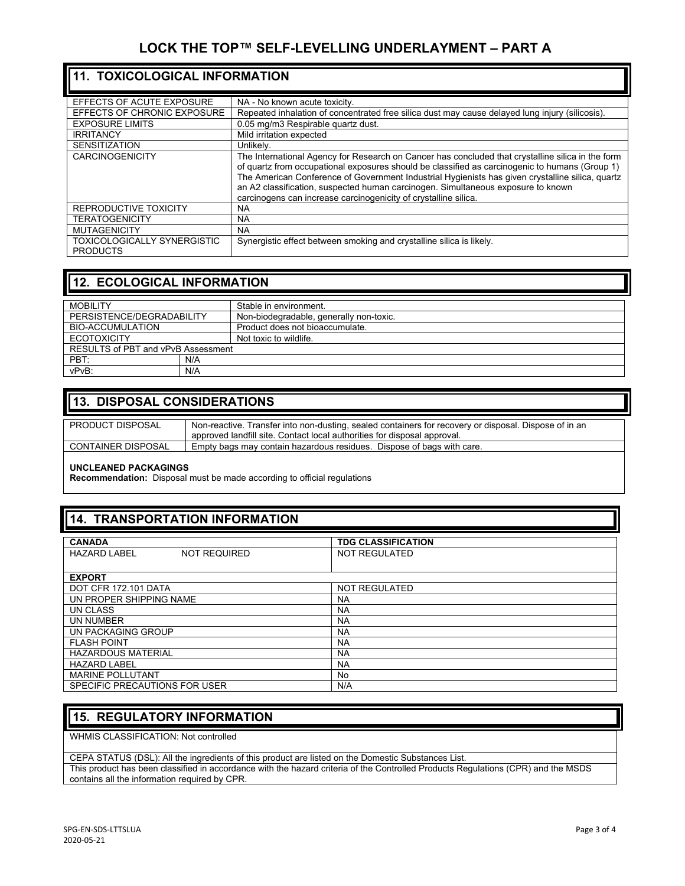| 11. TOXICOLOGICAL INFORMATION                         |                                                                                                                                                                                                                                                                                                                                                                                                                                                                |  |
|-------------------------------------------------------|----------------------------------------------------------------------------------------------------------------------------------------------------------------------------------------------------------------------------------------------------------------------------------------------------------------------------------------------------------------------------------------------------------------------------------------------------------------|--|
| EFFECTS OF ACUTE EXPOSURE                             | NA - No known acute toxicity.                                                                                                                                                                                                                                                                                                                                                                                                                                  |  |
| EFFECTS OF CHRONIC EXPOSURE                           | Repeated inhalation of concentrated free silica dust may cause delayed lung injury (silicosis).                                                                                                                                                                                                                                                                                                                                                                |  |
| <b>EXPOSURE LIMITS</b>                                | 0.05 mg/m3 Respirable quartz dust.                                                                                                                                                                                                                                                                                                                                                                                                                             |  |
| <b>IRRITANCY</b>                                      | Mild irritation expected                                                                                                                                                                                                                                                                                                                                                                                                                                       |  |
| <b>SENSITIZATION</b>                                  | Unlikely.                                                                                                                                                                                                                                                                                                                                                                                                                                                      |  |
| <b>CARCINOGENICITY</b>                                | The International Agency for Research on Cancer has concluded that crystalline silica in the form<br>of quartz from occupational exposures should be classified as carcinogenic to humans (Group 1)<br>The American Conference of Government Industrial Hygienists has given crystalline silica, quartz<br>an A2 classification, suspected human carcinogen. Simultaneous exposure to known<br>carcinogens can increase carcinogenicity of crystalline silica. |  |
| REPRODUCTIVE TOXICITY                                 | <b>NA</b>                                                                                                                                                                                                                                                                                                                                                                                                                                                      |  |
| <b>TERATOGENICITY</b>                                 | <b>NA</b>                                                                                                                                                                                                                                                                                                                                                                                                                                                      |  |
| <b>MUTAGENICITY</b>                                   | NA.                                                                                                                                                                                                                                                                                                                                                                                                                                                            |  |
| <b>TOXICOLOGICALLY SYNERGISTIC</b><br><b>PRODUCTS</b> | Synergistic effect between smoking and crystalline silica is likely.                                                                                                                                                                                                                                                                                                                                                                                           |  |

#### **12. ECOLOGICAL INFORMATION**

| <b>MOBILITY</b>                    |     | Stable in environment.                  |
|------------------------------------|-----|-----------------------------------------|
| PERSISTENCE/DEGRADABILITY          |     | Non-biodegradable, generally non-toxic. |
| BIO-ACCUMULATION                   |     | Product does not bioaccumulate.         |
| <b>ECOTOXICITY</b>                 |     | Not toxic to wildlife.                  |
| RESULTS of PBT and vPvB Assessment |     |                                         |
| PBT:                               | N/A |                                         |
| vPvB:                              | N/A |                                         |

#### **13. DISPOSAL CONSIDERATIONS**

| PRODUCT DISPOSAL          | Non-reactive. Transfer into non-dusting, sealed containers for recovery or disposal. Dispose of in an |
|---------------------------|-------------------------------------------------------------------------------------------------------|
|                           | approved landfill site. Contact local authorities for disposal approval.                              |
| <b>CONTAINER DISPOSAL</b> | Empty bags may contain hazardous residues. Dispose of bags with care.                                 |
|                           |                                                                                                       |

#### **UNCLEANED PACKAGINGS**

**Recommendation:** Disposal must be made according to official regulations

### **14. TRANSPORTATION INFORMATION**

| <b>CANADA</b>                              | <b>TDG CLASSIFICATION</b> |  |  |
|--------------------------------------------|---------------------------|--|--|
| <b>NOT REQUIRED</b><br><b>HAZARD LABEL</b> | NOT REGULATED             |  |  |
|                                            |                           |  |  |
| <b>EXPORT</b>                              |                           |  |  |
| DOT CFR 172.101 DATA                       | <b>NOT REGULATED</b>      |  |  |
| UN PROPER SHIPPING NAME                    | <b>NA</b>                 |  |  |
| UN CLASS                                   | <b>NA</b>                 |  |  |
| UN NUMBER                                  | <b>NA</b>                 |  |  |
| UN PACKAGING GROUP                         | <b>NA</b>                 |  |  |
| <b>FLASH POINT</b>                         | <b>NA</b>                 |  |  |
| <b>HAZARDOUS MATERIAL</b>                  | <b>NA</b>                 |  |  |
| <b>HAZARD LABEL</b>                        | <b>NA</b>                 |  |  |
| <b>MARINE POLLUTANT</b>                    | No                        |  |  |
| SPECIFIC PRECAUTIONS FOR USER              | N/A                       |  |  |

#### **15. REGULATORY INFORMATION**

WHMIS CLASSIFICATION: Not controlled

CEPA STATUS (DSL): All the ingredients of this product are listed on the Domestic Substances List. This product has been classified in accordance with the hazard criteria of the Controlled Products Regulations (CPR) and the MSDS contains all the information required by CPR.